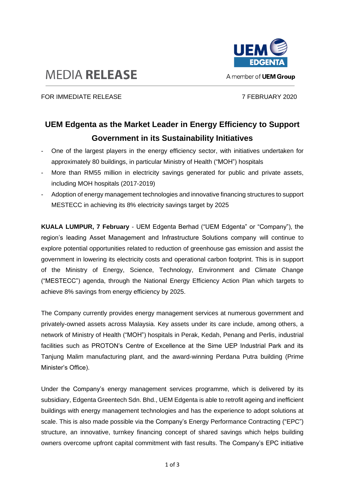

## **MEDIA RELEASE**

FOR IMMEDIATE RELEASE 7 FEBRUARY 2020

## **UEM Edgenta as the Market Leader in Energy Efficiency to Support Government in its Sustainability Initiatives**

- One of the largest players in the energy efficiency sector, with initiatives undertaken for approximately 80 buildings, in particular Ministry of Health ("MOH") hospitals
- More than RM55 million in electricity savings generated for public and private assets, including MOH hospitals (2017-2019)
- Adoption of energy management technologies and innovative financing structures to support MESTECC in achieving its 8% electricity savings target by 2025

**KUALA LUMPUR, 7 February** - UEM Edgenta Berhad ("UEM Edgenta" or "Company"), the region's leading Asset Management and Infrastructure Solutions company will continue to explore potential opportunities related to reduction of greenhouse gas emission and assist the government in lowering its electricity costs and operational carbon footprint. This is in support of the Ministry of Energy, Science, Technology, Environment and Climate Change ("MESTECC") agenda, through the National Energy Efficiency Action Plan which targets to achieve 8% savings from energy efficiency by 2025.

The Company currently provides energy management services at numerous government and privately-owned assets across Malaysia. Key assets under its care include, among others, a network of Ministry of Health ("MOH") hospitals in Perak, Kedah, Penang and Perlis, industrial facilities such as PROTON's Centre of Excellence at the Sime UEP Industrial Park and its Tanjung Malim manufacturing plant, and the award-winning Perdana Putra building (Prime Minister's Office).

Under the Company's energy management services programme, which is delivered by its subsidiary, Edgenta Greentech Sdn. Bhd., UEM Edgenta is able to retrofit ageing and inefficient buildings with energy management technologies and has the experience to adopt solutions at scale. This is also made possible via the Company's Energy Performance Contracting ("EPC") structure, an innovative, turnkey financing concept of shared savings which helps building owners overcome upfront capital commitment with fast results. The Company's EPC initiative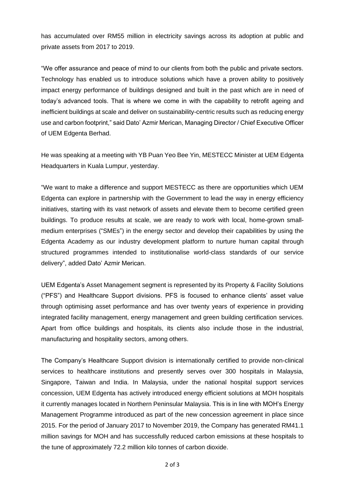has accumulated over RM55 million in electricity savings across its adoption at public and private assets from 2017 to 2019.

"We offer assurance and peace of mind to our clients from both the public and private sectors. Technology has enabled us to introduce solutions which have a proven ability to positively impact energy performance of buildings designed and built in the past which are in need of today's advanced tools. That is where we come in with the capability to retrofit ageing and inefficient buildings at scale and deliver on sustainability-centric results such as reducing energy use and carbon footprint," said Dato' Azmir Merican, Managing Director / Chief Executive Officer of UEM Edgenta Berhad.

He was speaking at a meeting with YB Puan Yeo Bee Yin, MESTECC Minister at UEM Edgenta Headquarters in Kuala Lumpur, yesterday.

"We want to make a difference and support MESTECC as there are opportunities which UEM Edgenta can explore in partnership with the Government to lead the way in energy efficiency initiatives, starting with its vast network of assets and elevate them to become certified green buildings. To produce results at scale, we are ready to work with local, home-grown smallmedium enterprises ("SMEs") in the energy sector and develop their capabilities by using the Edgenta Academy as our industry development platform to nurture human capital through structured programmes intended to institutionalise world-class standards of our service delivery", added Dato' Azmir Merican.

UEM Edgenta's Asset Management segment is represented by its Property & Facility Solutions ("PFS") and Healthcare Support divisions. PFS is focused to enhance clients' asset value through optimising asset performance and has over twenty years of experience in providing integrated facility management, energy management and green building certification services. Apart from office buildings and hospitals, its clients also include those in the industrial, manufacturing and hospitality sectors, among others.

The Company's Healthcare Support division is internationally certified to provide non-clinical services to healthcare institutions and presently serves over 300 hospitals in Malaysia, Singapore, Taiwan and India. In Malaysia, under the national hospital support services concession, UEM Edgenta has actively introduced energy efficient solutions at MOH hospitals it currently manages located in Northern Peninsular Malaysia. This is in line with MOH's Energy Management Programme introduced as part of the new concession agreement in place since 2015. For the period of January 2017 to November 2019, the Company has generated RM41.1 million savings for MOH and has successfully reduced carbon emissions at these hospitals to the tune of approximately 72.2 million kilo tonnes of carbon dioxide.